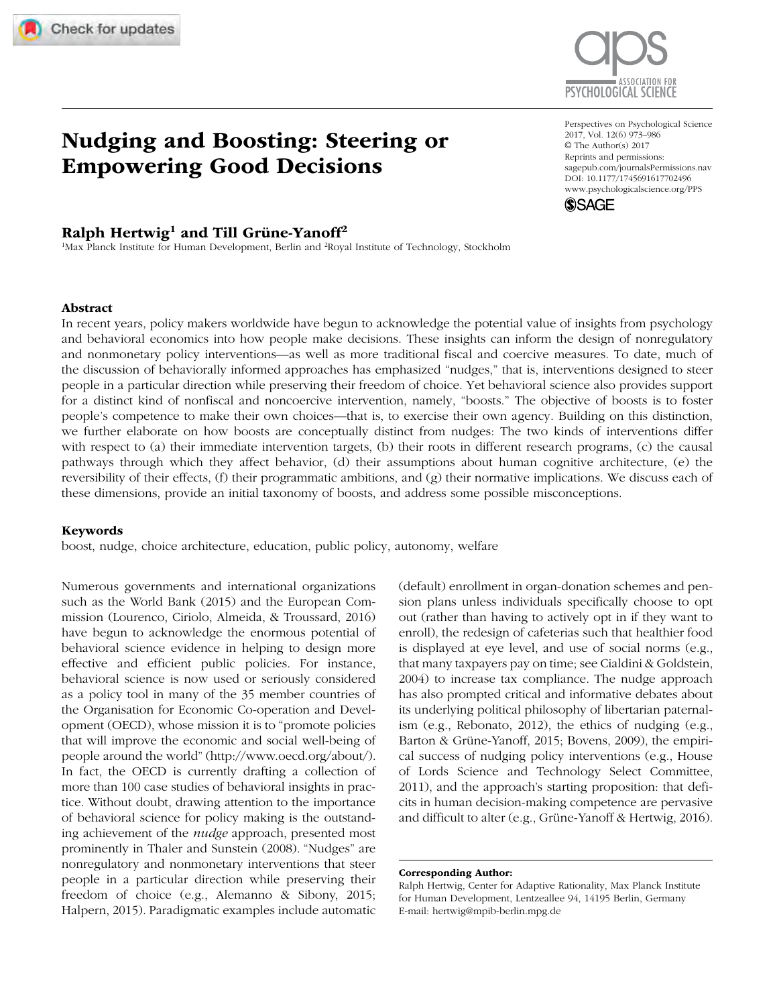[702496](http://crossmark.crossref.org/dialog/?doi=10.1177%2F1745691617702496&domain=pdf&date_stamp=2017-08-09)PPSXXX10.1177/1745691617702496Hertwig, Grüne-YanoffPathways to Good Decision

# Nudging and Boosting: Steering or Empowering Good Decisions

## Ralph Hertwig<sup>1</sup> and Till Grüne-Yanoff<sup>2</sup>

<sup>1</sup>Max Planck Institute for Human Development, Berlin and <sup>2</sup>Royal Institute of Technology, Stockholm



https://doi.org/10.1177/1745691617702496 DOI: 10.1177/1745691617702496 Perspectives on Psychological Science 2017, Vol. 12(6) 973–986 © The Author(s) 2017 Reprints and permissions: [sagepub.com/journalsPermissions.nav](http://sagepub.com/journalsPermissions.nav) [www.psychologicalscience.org/PPS](http://www.psychologicalscience.org/pps)



### Abstract

In recent years, policy makers worldwide have begun to acknowledge the potential value of insights from psychology and behavioral economics into how people make decisions. These insights can inform the design of nonregulatory and nonmonetary policy interventions—as well as more traditional fiscal and coercive measures. To date, much of the discussion of behaviorally informed approaches has emphasized "nudges," that is, interventions designed to steer people in a particular direction while preserving their freedom of choice. Yet behavioral science also provides support for a distinct kind of nonfiscal and noncoercive intervention, namely, "boosts." The objective of boosts is to foster people's competence to make their own choices—that is, to exercise their own agency. Building on this distinction, we further elaborate on how boosts are conceptually distinct from nudges: The two kinds of interventions differ with respect to (a) their immediate intervention targets, (b) their roots in different research programs, (c) the causal pathways through which they affect behavior, (d) their assumptions about human cognitive architecture, (e) the reversibility of their effects, (f) their programmatic ambitions, and (g) their normative implications. We discuss each of these dimensions, provide an initial taxonomy of boosts, and address some possible misconceptions.

#### Keywords

boost, nudge, choice architecture, education, public policy, autonomy, welfare

Numerous governments and international organizations such as the World Bank (2015) and the European Commission (Lourenco, Ciriolo, Almeida, & Troussard, 2016) have begun to acknowledge the enormous potential of behavioral science evidence in helping to design more effective and efficient public policies. For instance, behavioral science is now used or seriously considered as a policy tool in many of the 35 member countries of the Organisation for Economic Co-operation and Development (OECD), whose mission it is to "promote policies that will improve the economic and social well-being of people around the world" ([http://www.oecd.org/about/\)](http://www.oecd.org/about/). In fact, the OECD is currently drafting a collection of more than 100 case studies of behavioral insights in practice. Without doubt, drawing attention to the importance of behavioral science for policy making is the outstanding achievement of the *nudge* approach, presented most prominently in Thaler and Sunstein (2008). "Nudges" are nonregulatory and nonmonetary interventions that steer people in a particular direction while preserving their freedom of choice (e.g., Alemanno & Sibony, 2015; Halpern, 2015). Paradigmatic examples include automatic (default) enrollment in organ-donation schemes and pension plans unless individuals specifically choose to opt out (rather than having to actively opt in if they want to enroll), the redesign of cafeterias such that healthier food is displayed at eye level, and use of social norms (e.g., that many taxpayers pay on time; see Cialdini & Goldstein, 2004) to increase tax compliance. The nudge approach has also prompted critical and informative debates about its underlying political philosophy of libertarian paternalism (e.g., Rebonato, 2012), the ethics of nudging (e.g., Barton & Grüne-Yanoff, 2015; Bovens, 2009), the empirical success of nudging policy interventions (e.g., House of Lords Science and Technology Select Committee, 2011), and the approach's starting proposition: that deficits in human decision-making competence are pervasive and difficult to alter (e.g., Grüne-Yanoff & Hertwig, 2016).

#### Corresponding Author:

Ralph Hertwig, Center for Adaptive Rationality, Max Planck Institute for Human Development, Lentzeallee 94, 14195 Berlin, Germany E-mail: [hertwig@mpib-berlin.mpg.de](mailto:hertwig@mpib-berlin.mpg.de)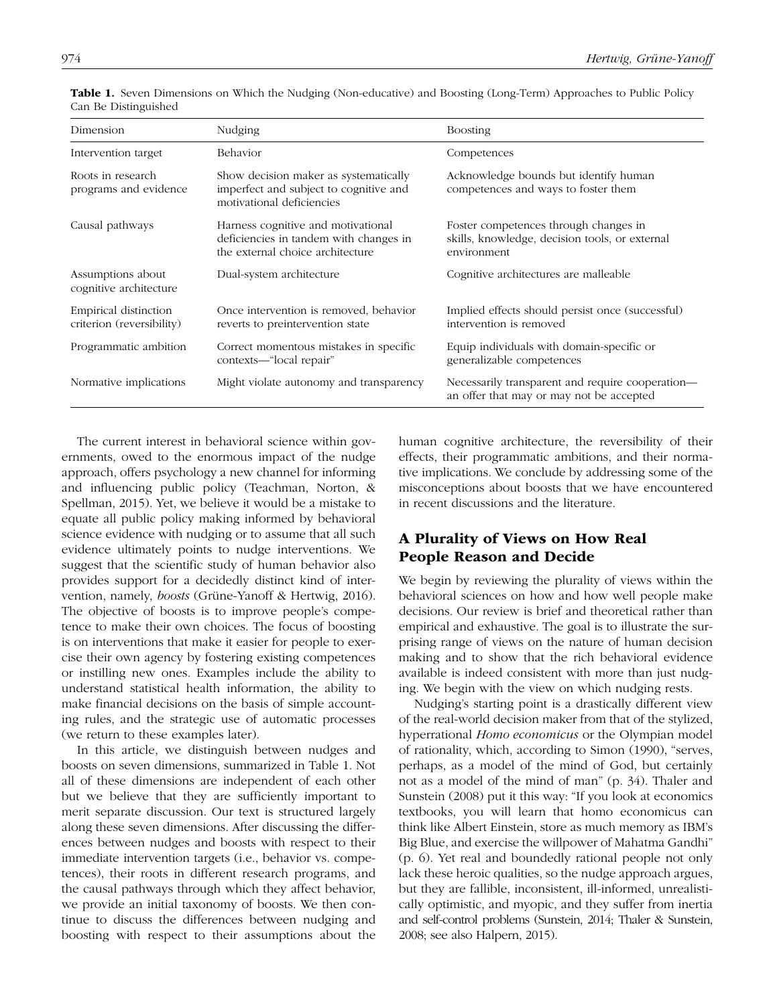| Dimension                                          | Nudging                                                                                                          | <b>Boosting</b>                                                                                        |
|----------------------------------------------------|------------------------------------------------------------------------------------------------------------------|--------------------------------------------------------------------------------------------------------|
| Intervention target                                | Behavior                                                                                                         | Competences                                                                                            |
| Roots in research<br>programs and evidence         | Show decision maker as systematically<br>imperfect and subject to cognitive and<br>motivational deficiencies     | Acknowledge bounds but identify human<br>competences and ways to foster them                           |
| Causal pathways                                    | Harness cognitive and motivational<br>deficiencies in tandem with changes in<br>the external choice architecture | Foster competences through changes in<br>skills, knowledge, decision tools, or external<br>environment |
| Assumptions about<br>cognitive architecture        | Dual-system architecture                                                                                         | Cognitive architectures are malleable                                                                  |
| Empirical distinction<br>criterion (reversibility) | Once intervention is removed, behavior<br>reverts to preintervention state                                       | Implied effects should persist once (successful)<br>intervention is removed                            |
| Programmatic ambition                              | Correct momentous mistakes in specific<br>contexts—"local repair"                                                | Equip individuals with domain-specific or<br>generalizable competences                                 |
| Normative implications                             | Might violate autonomy and transparency                                                                          | Necessarily transparent and require cooperation-<br>an offer that may or may not be accepted           |

Table 1. Seven Dimensions on Which the Nudging (Non-educative) and Boosting (Long-Term) Approaches to Public Policy Can Be Distinguished

The current interest in behavioral science within governments, owed to the enormous impact of the nudge approach, offers psychology a new channel for informing and influencing public policy (Teachman, Norton, & Spellman, 2015). Yet, we believe it would be a mistake to equate all public policy making informed by behavioral science evidence with nudging or to assume that all such evidence ultimately points to nudge interventions. We suggest that the scientific study of human behavior also provides support for a decidedly distinct kind of intervention, namely, *boosts* (Grüne-Yanoff & Hertwig, 2016). The objective of boosts is to improve people's competence to make their own choices. The focus of boosting is on interventions that make it easier for people to exercise their own agency by fostering existing competences or instilling new ones. Examples include the ability to understand statistical health information, the ability to make financial decisions on the basis of simple accounting rules, and the strategic use of automatic processes (we return to these examples later).

In this article, we distinguish between nudges and boosts on seven dimensions, summarized in Table 1. Not all of these dimensions are independent of each other but we believe that they are sufficiently important to merit separate discussion. Our text is structured largely along these seven dimensions. After discussing the differences between nudges and boosts with respect to their immediate intervention targets (i.e., behavior vs. competences), their roots in different research programs, and the causal pathways through which they affect behavior, we provide an initial taxonomy of boosts. We then continue to discuss the differences between nudging and boosting with respect to their assumptions about the human cognitive architecture, the reversibility of their effects, their programmatic ambitions, and their normative implications. We conclude by addressing some of the misconceptions about boosts that we have encountered in recent discussions and the literature.

# A Plurality of Views on How Real People Reason and Decide

We begin by reviewing the plurality of views within the behavioral sciences on how and how well people make decisions. Our review is brief and theoretical rather than empirical and exhaustive. The goal is to illustrate the surprising range of views on the nature of human decision making and to show that the rich behavioral evidence available is indeed consistent with more than just nudging. We begin with the view on which nudging rests.

Nudging's starting point is a drastically different view of the real-world decision maker from that of the stylized, hyperrational *Homo economicus* or the Olympian model of rationality, which, according to Simon (1990), "serves, perhaps, as a model of the mind of God, but certainly not as a model of the mind of man" (p. 34). Thaler and Sunstein (2008) put it this way: "If you look at economics textbooks, you will learn that homo economicus can think like Albert Einstein, store as much memory as IBM's Big Blue, and exercise the willpower of Mahatma Gandhi" (p. 6). Yet real and boundedly rational people not only lack these heroic qualities, so the nudge approach argues, but they are fallible, inconsistent, ill-informed, unrealistically optimistic, and myopic, and they suffer from inertia and self-control problems (Sunstein, 2014; Thaler & Sunstein, 2008; see also Halpern, 2015).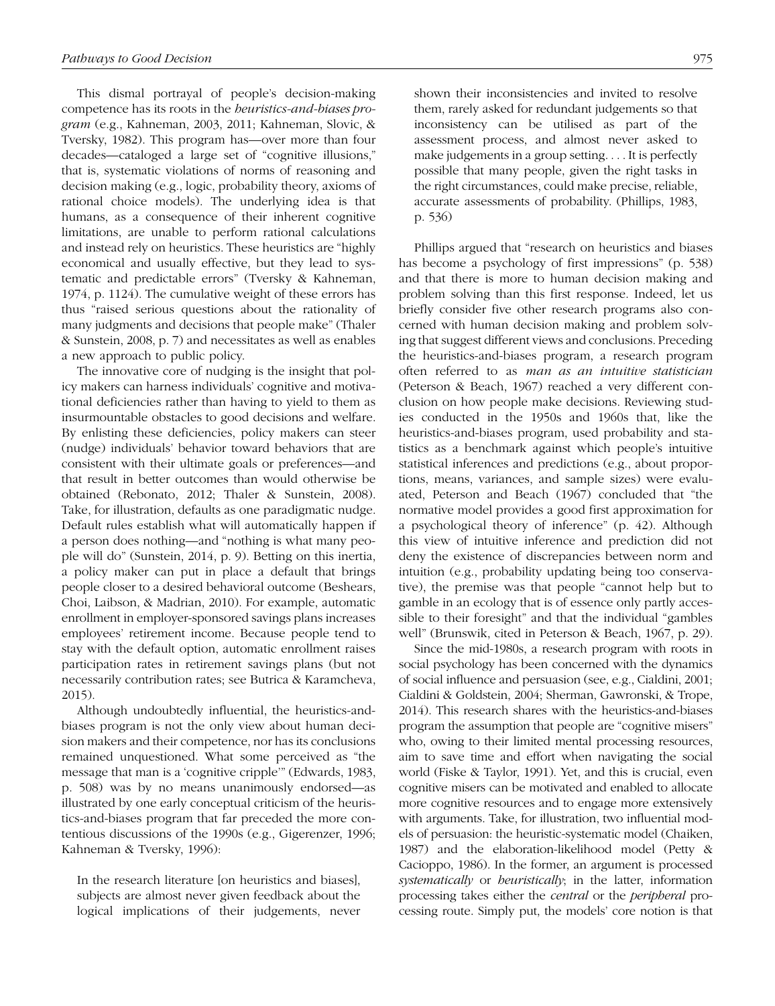This dismal portrayal of people's decision-making competence has its roots in the *heuristics-and-biases program* (e.g., Kahneman, 2003, 2011; Kahneman, Slovic, & Tversky, 1982). This program has—over more than four decades—cataloged a large set of "cognitive illusions," that is, systematic violations of norms of reasoning and decision making (e.g., logic, probability theory, axioms of rational choice models). The underlying idea is that humans, as a consequence of their inherent cognitive limitations, are unable to perform rational calculations and instead rely on heuristics. These heuristics are "highly economical and usually effective, but they lead to systematic and predictable errors" (Tversky & Kahneman, 1974, p. 1124). The cumulative weight of these errors has thus "raised serious questions about the rationality of many judgments and decisions that people make" (Thaler & Sunstein, 2008, p. 7) and necessitates as well as enables a new approach to public policy.

The innovative core of nudging is the insight that policy makers can harness individuals' cognitive and motivational deficiencies rather than having to yield to them as insurmountable obstacles to good decisions and welfare. By enlisting these deficiencies, policy makers can steer (nudge) individuals' behavior toward behaviors that are consistent with their ultimate goals or preferences—and that result in better outcomes than would otherwise be obtained (Rebonato, 2012; Thaler & Sunstein, 2008). Take, for illustration, defaults as one paradigmatic nudge. Default rules establish what will automatically happen if a person does nothing—and "nothing is what many people will do" (Sunstein, 2014, p. 9). Betting on this inertia, a policy maker can put in place a default that brings people closer to a desired behavioral outcome (Beshears, Choi, Laibson, & Madrian, 2010). For example, automatic enrollment in employer-sponsored savings plans increases employees' retirement income. Because people tend to stay with the default option, automatic enrollment raises participation rates in retirement savings plans (but not necessarily contribution rates; see Butrica & Karamcheva, 2015).

Although undoubtedly influential, the heuristics-andbiases program is not the only view about human decision makers and their competence, nor has its conclusions remained unquestioned. What some perceived as "the message that man is a 'cognitive cripple'" (Edwards, 1983, p. 508) was by no means unanimously endorsed—as illustrated by one early conceptual criticism of the heuristics-and-biases program that far preceded the more contentious discussions of the 1990s (e.g., Gigerenzer, 1996; Kahneman & Tversky, 1996):

In the research literature [on heuristics and biases], subjects are almost never given feedback about the logical implications of their judgements, never shown their inconsistencies and invited to resolve them, rarely asked for redundant judgements so that inconsistency can be utilised as part of the assessment process, and almost never asked to make judgements in a group setting. . . . It is perfectly possible that many people, given the right tasks in the right circumstances, could make precise, reliable, accurate assessments of probability. (Phillips, 1983, p. 536)

Phillips argued that "research on heuristics and biases has become a psychology of first impressions" (p. 538) and that there is more to human decision making and problem solving than this first response. Indeed, let us briefly consider five other research programs also concerned with human decision making and problem solving that suggest different views and conclusions. Preceding the heuristics-and-biases program, a research program often referred to as *man as an intuitive statistician* (Peterson & Beach, 1967) reached a very different conclusion on how people make decisions. Reviewing studies conducted in the 1950s and 1960s that, like the heuristics-and-biases program, used probability and statistics as a benchmark against which people's intuitive statistical inferences and predictions (e.g., about proportions, means, variances, and sample sizes) were evaluated, Peterson and Beach (1967) concluded that "the normative model provides a good first approximation for a psychological theory of inference" (p. 42). Although this view of intuitive inference and prediction did not deny the existence of discrepancies between norm and intuition (e.g., probability updating being too conservative), the premise was that people "cannot help but to gamble in an ecology that is of essence only partly accessible to their foresight" and that the individual "gambles well" (Brunswik, cited in Peterson & Beach, 1967, p. 29).

Since the mid-1980s, a research program with roots in social psychology has been concerned with the dynamics of social influence and persuasion (see, e.g., Cialdini, 2001; Cialdini & Goldstein, 2004; Sherman, Gawronski, & Trope, 2014). This research shares with the heuristics-and-biases program the assumption that people are "cognitive misers" who, owing to their limited mental processing resources, aim to save time and effort when navigating the social world (Fiske & Taylor, 1991). Yet, and this is crucial, even cognitive misers can be motivated and enabled to allocate more cognitive resources and to engage more extensively with arguments. Take, for illustration, two influential models of persuasion: the heuristic-systematic model (Chaiken, 1987) and the elaboration-likelihood model (Petty & Cacioppo, 1986). In the former, an argument is processed *systematically* or *heuristically*; in the latter, information processing takes either the *central* or the *peripheral* processing route. Simply put, the models' core notion is that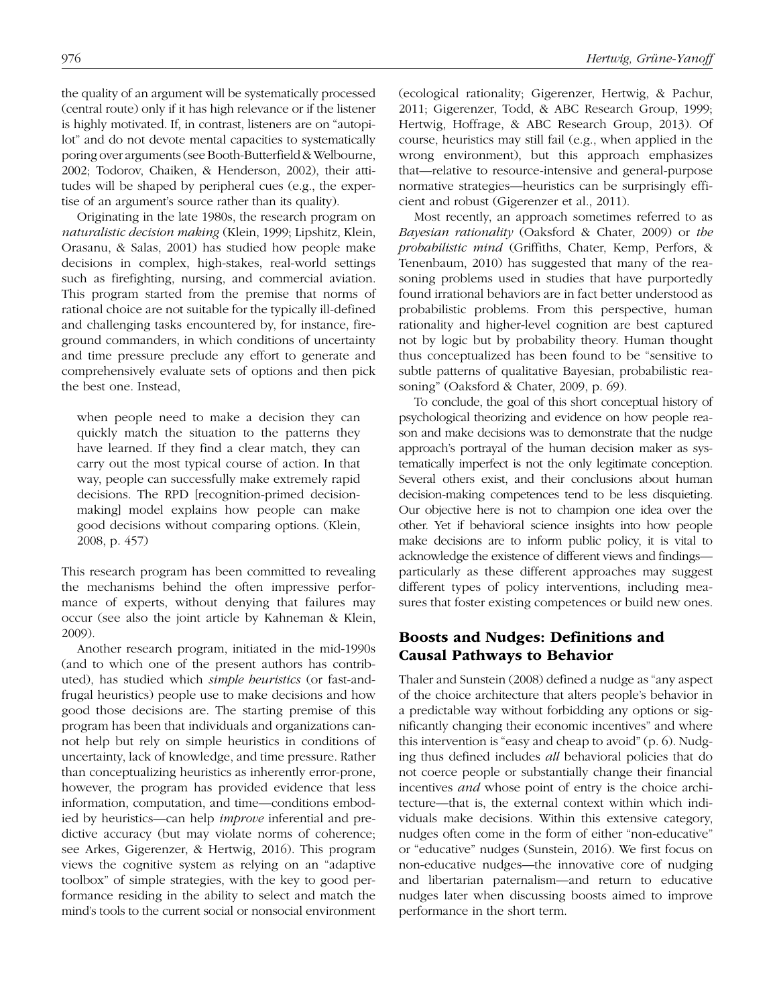the quality of an argument will be systematically processed (central route) only if it has high relevance or if the listener is highly motivated. If, in contrast, listeners are on "autopilot" and do not devote mental capacities to systematically poring over arguments (see Booth-Butterfield & Welbourne, 2002; Todorov, Chaiken, & Henderson, 2002), their attitudes will be shaped by peripheral cues (e.g., the expertise of an argument's source rather than its quality).

Originating in the late 1980s, the research program on *naturalistic decision making* (Klein, 1999; Lipshitz, Klein, Orasanu, & Salas, 2001) has studied how people make decisions in complex, high-stakes, real-world settings such as firefighting, nursing, and commercial aviation. This program started from the premise that norms of rational choice are not suitable for the typically ill-defined and challenging tasks encountered by, for instance, fireground commanders, in which conditions of uncertainty and time pressure preclude any effort to generate and comprehensively evaluate sets of options and then pick the best one. Instead,

when people need to make a decision they can quickly match the situation to the patterns they have learned. If they find a clear match, they can carry out the most typical course of action. In that way, people can successfully make extremely rapid decisions. The RPD [recognition-primed decisionmaking] model explains how people can make good decisions without comparing options. (Klein, 2008, p. 457)

This research program has been committed to revealing the mechanisms behind the often impressive performance of experts, without denying that failures may occur (see also the joint article by Kahneman & Klein, 2009).

Another research program, initiated in the mid-1990s (and to which one of the present authors has contributed), has studied which *simple heuristics* (or fast-andfrugal heuristics) people use to make decisions and how good those decisions are. The starting premise of this program has been that individuals and organizations cannot help but rely on simple heuristics in conditions of uncertainty, lack of knowledge, and time pressure. Rather than conceptualizing heuristics as inherently error-prone, however, the program has provided evidence that less information, computation, and time—conditions embodied by heuristics—can help *improve* inferential and predictive accuracy (but may violate norms of coherence; see Arkes, Gigerenzer, & Hertwig, 2016). This program views the cognitive system as relying on an "adaptive toolbox" of simple strategies, with the key to good performance residing in the ability to select and match the mind's tools to the current social or nonsocial environment (ecological rationality; Gigerenzer, Hertwig, & Pachur, 2011; Gigerenzer, Todd, & ABC Research Group, 1999; Hertwig, Hoffrage, & ABC Research Group, 2013). Of course, heuristics may still fail (e.g., when applied in the wrong environment), but this approach emphasizes that—relative to resource-intensive and general-purpose normative strategies—heuristics can be surprisingly efficient and robust (Gigerenzer et al., 2011).

Most recently, an approach sometimes referred to as *Bayesian rationality* (Oaksford & Chater, 2009) or *the probabilistic mind* (Griffiths, Chater, Kemp, Perfors, & Tenenbaum, 2010) has suggested that many of the reasoning problems used in studies that have purportedly found irrational behaviors are in fact better understood as probabilistic problems. From this perspective, human rationality and higher-level cognition are best captured not by logic but by probability theory. Human thought thus conceptualized has been found to be "sensitive to subtle patterns of qualitative Bayesian, probabilistic reasoning" (Oaksford & Chater, 2009, p. 69).

To conclude, the goal of this short conceptual history of psychological theorizing and evidence on how people reason and make decisions was to demonstrate that the nudge approach's portrayal of the human decision maker as systematically imperfect is not the only legitimate conception. Several others exist, and their conclusions about human decision-making competences tend to be less disquieting. Our objective here is not to champion one idea over the other. Yet if behavioral science insights into how people make decisions are to inform public policy, it is vital to acknowledge the existence of different views and findings particularly as these different approaches may suggest different types of policy interventions, including measures that foster existing competences or build new ones.

# Boosts and Nudges: Definitions and Causal Pathways to Behavior

Thaler and Sunstein (2008) defined a nudge as "any aspect of the choice architecture that alters people's behavior in a predictable way without forbidding any options or significantly changing their economic incentives" and where this intervention is "easy and cheap to avoid" (p. 6). Nudging thus defined includes *all* behavioral policies that do not coerce people or substantially change their financial incentives *and* whose point of entry is the choice architecture—that is, the external context within which individuals make decisions. Within this extensive category, nudges often come in the form of either "non-educative" or "educative" nudges (Sunstein, 2016). We first focus on non-educative nudges—the innovative core of nudging and libertarian paternalism—and return to educative nudges later when discussing boosts aimed to improve performance in the short term.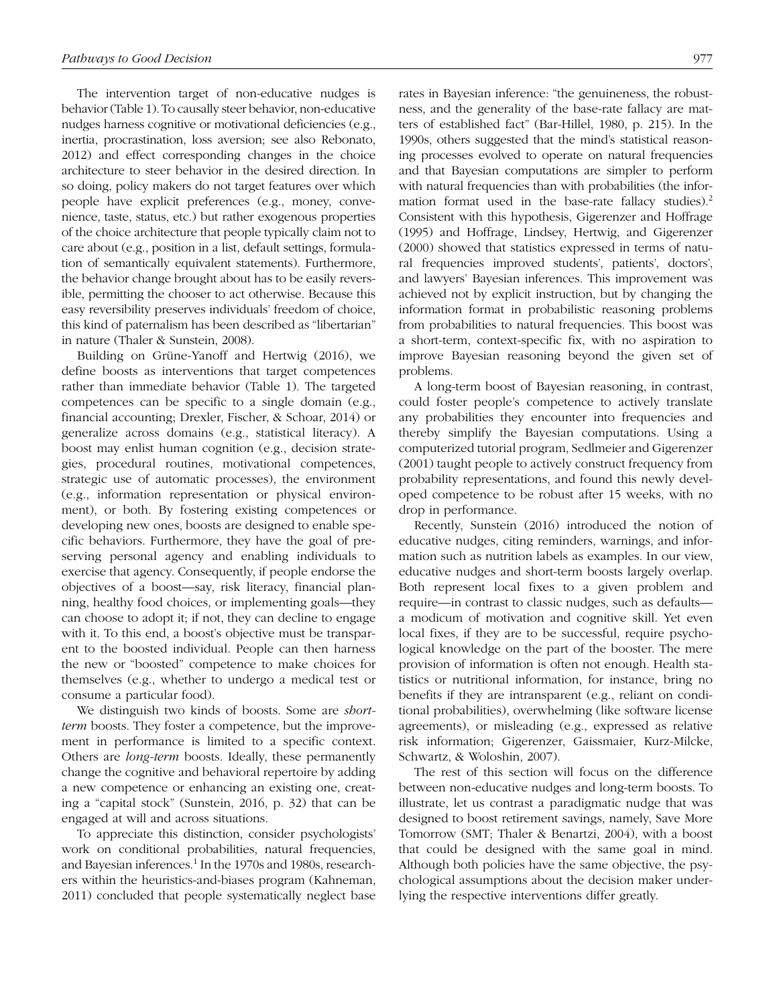The intervention target of non-educative nudges is behavior (Table 1). To causally steer behavior, non-educative nudges harness cognitive or motivational deficiencies (e.g., inertia, procrastination, loss aversion; see also Rebonato, 2012) and effect corresponding changes in the choice architecture to steer behavior in the desired direction. In so doing, policy makers do not target features over which people have explicit preferences (e.g., money, convenience, taste, status, etc.) but rather exogenous properties of the choice architecture that people typically claim not to care about (e.g., position in a list, default settings, formulation of semantically equivalent statements). Furthermore, the behavior change brought about has to be easily reversible, permitting the chooser to act otherwise. Because this easy reversibility preserves individuals' freedom of choice, this kind of paternalism has been described as "libertarian" in nature (Thaler & Sunstein, 2008).

Building on Grüne-Yanoff and Hertwig (2016), we define boosts as interventions that target competences rather than immediate behavior (Table 1). The targeted competences can be specific to a single domain (e.g., financial accounting; Drexler, Fischer, & Schoar, 2014) or generalize across domains (e.g., statistical literacy). A boost may enlist human cognition (e.g., decision strategies, procedural routines, motivational competences, strategic use of automatic processes), the environment (e.g., information representation or physical environment), or both. By fostering existing competences or developing new ones, boosts are designed to enable specific behaviors. Furthermore, they have the goal of preserving personal agency and enabling individuals to exercise that agency. Consequently, if people endorse the objectives of a boost—say, risk literacy, financial planning, healthy food choices, or implementing goals—they can choose to adopt it; if not, they can decline to engage with it. To this end, a boost's objective must be transparent to the boosted individual. People can then harness the new or "boosted" competence to make choices for themselves (e.g., whether to undergo a medical test or consume a particular food).

We distinguish two kinds of boosts. Some are *shortterm* boosts. They foster a competence, but the improvement in performance is limited to a specific context. Others are *long-term* boosts. Ideally, these permanently change the cognitive and behavioral repertoire by adding a new competence or enhancing an existing one, creating a "capital stock" (Sunstein, 2016, p. 32) that can be engaged at will and across situations.

To appreciate this distinction, consider psychologists' work on conditional probabilities, natural frequencies, and Bayesian inferences. $1$  In the 1970s and 1980s, researchers within the heuristics-and-biases program (Kahneman, 2011) concluded that people systematically neglect base

rates in Bayesian inference: "the genuineness, the robustness, and the generality of the base-rate fallacy are matters of established fact" (Bar-Hillel, 1980, p. 215). In the 1990s, others suggested that the mind's statistical reasoning processes evolved to operate on natural frequencies and that Bayesian computations are simpler to perform with natural frequencies than with probabilities (the information format used in the base-rate fallacy studies).<sup>2</sup> Consistent with this hypothesis, Gigerenzer and Hoffrage (1995) and Hoffrage, Lindsey, Hertwig, and Gigerenzer (2000) showed that statistics expressed in terms of natural frequencies improved students', patients', doctors', and lawyers' Bayesian inferences. This improvement was achieved not by explicit instruction, but by changing the information format in probabilistic reasoning problems from probabilities to natural frequencies. This boost was a short-term, context-specific fix, with no aspiration to improve Bayesian reasoning beyond the given set of problems.

A long-term boost of Bayesian reasoning, in contrast, could foster people's competence to actively translate any probabilities they encounter into frequencies and thereby simplify the Bayesian computations. Using a computerized tutorial program, Sedlmeier and Gigerenzer (2001) taught people to actively construct frequency from probability representations, and found this newly developed competence to be robust after 15 weeks, with no drop in performance.

Recently, Sunstein (2016) introduced the notion of educative nudges, citing reminders, warnings, and information such as nutrition labels as examples. In our view, educative nudges and short-term boosts largely overlap. Both represent local fixes to a given problem and require—in contrast to classic nudges, such as defaults a modicum of motivation and cognitive skill. Yet even local fixes, if they are to be successful, require psychological knowledge on the part of the booster. The mere provision of information is often not enough. Health statistics or nutritional information, for instance, bring no benefits if they are intransparent (e.g., reliant on conditional probabilities), overwhelming (like software license agreements), or misleading (e.g., expressed as relative risk information; Gigerenzer, Gaissmaier, Kurz-Milcke, Schwartz, & Woloshin, 2007).

The rest of this section will focus on the difference between non-educative nudges and long-term boosts. To illustrate, let us contrast a paradigmatic nudge that was designed to boost retirement savings, namely, Save More Tomorrow (SMT; Thaler & Benartzi, 2004), with a boost that could be designed with the same goal in mind. Although both policies have the same objective, the psychological assumptions about the decision maker underlying the respective interventions differ greatly.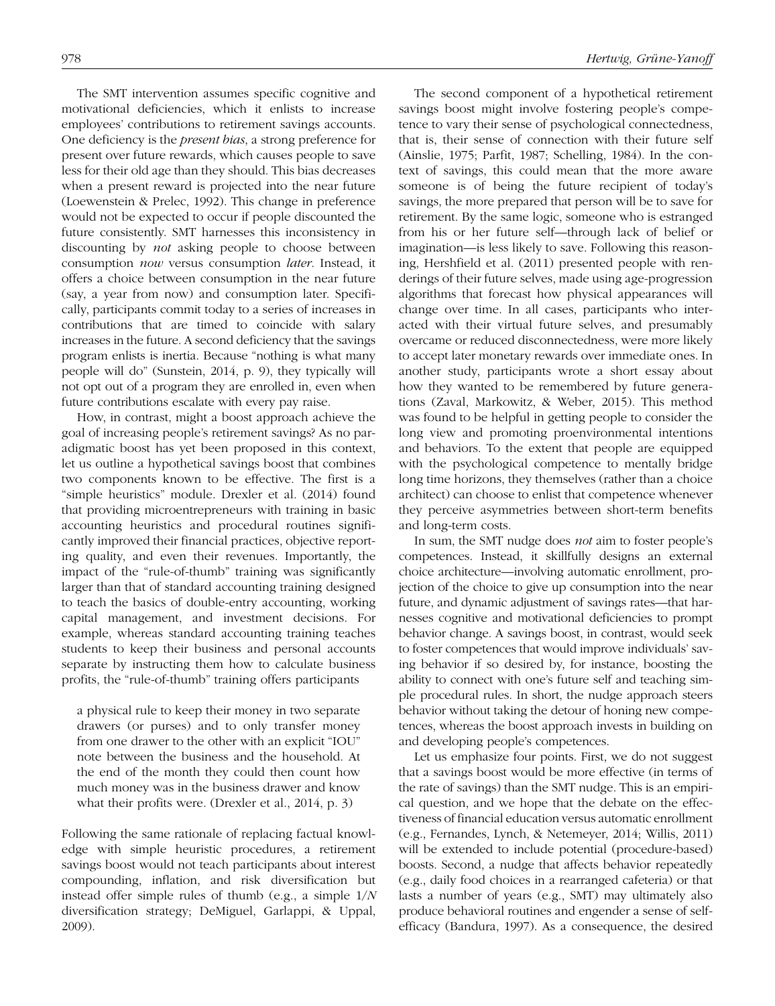The SMT intervention assumes specific cognitive and motivational deficiencies, which it enlists to increase employees' contributions to retirement savings accounts. One deficiency is the *present bias*, a strong preference for present over future rewards, which causes people to save less for their old age than they should. This bias decreases when a present reward is projected into the near future (Loewenstein & Prelec, 1992). This change in preference would not be expected to occur if people discounted the future consistently. SMT harnesses this inconsistency in discounting by *not* asking people to choose between consumption *now* versus consumption *later*. Instead, it offers a choice between consumption in the near future (say, a year from now) and consumption later. Specifically, participants commit today to a series of increases in contributions that are timed to coincide with salary increases in the future. A second deficiency that the savings program enlists is inertia. Because "nothing is what many people will do" (Sunstein, 2014, p. 9), they typically will not opt out of a program they are enrolled in, even when future contributions escalate with every pay raise.

How, in contrast, might a boost approach achieve the goal of increasing people's retirement savings? As no paradigmatic boost has yet been proposed in this context, let us outline a hypothetical savings boost that combines two components known to be effective. The first is a "simple heuristics" module. Drexler et al. (2014) found that providing microentrepreneurs with training in basic accounting heuristics and procedural routines significantly improved their financial practices, objective reporting quality, and even their revenues. Importantly, the impact of the "rule-of-thumb" training was significantly larger than that of standard accounting training designed to teach the basics of double-entry accounting, working capital management, and investment decisions. For example, whereas standard accounting training teaches students to keep their business and personal accounts separate by instructing them how to calculate business profits, the "rule-of-thumb" training offers participants

a physical rule to keep their money in two separate drawers (or purses) and to only transfer money from one drawer to the other with an explicit "IOU" note between the business and the household. At the end of the month they could then count how much money was in the business drawer and know what their profits were. (Drexler et al., 2014, p. 3)

Following the same rationale of replacing factual knowledge with simple heuristic procedures, a retirement savings boost would not teach participants about interest compounding, inflation, and risk diversification but instead offer simple rules of thumb (e.g., a simple 1/*N* diversification strategy; DeMiguel, Garlappi, & Uppal, 2009).

The second component of a hypothetical retirement savings boost might involve fostering people's competence to vary their sense of psychological connectedness, that is, their sense of connection with their future self (Ainslie, 1975; Parfit, 1987; Schelling, 1984). In the context of savings, this could mean that the more aware someone is of being the future recipient of today's savings, the more prepared that person will be to save for retirement. By the same logic, someone who is estranged from his or her future self—through lack of belief or imagination—is less likely to save. Following this reasoning, Hershfield et al. (2011) presented people with renderings of their future selves, made using age-progression algorithms that forecast how physical appearances will change over time. In all cases, participants who interacted with their virtual future selves, and presumably overcame or reduced disconnectedness, were more likely to accept later monetary rewards over immediate ones. In another study, participants wrote a short essay about how they wanted to be remembered by future generations (Zaval, Markowitz, & Weber, 2015). This method was found to be helpful in getting people to consider the long view and promoting proenvironmental intentions and behaviors. To the extent that people are equipped with the psychological competence to mentally bridge long time horizons, they themselves (rather than a choice architect) can choose to enlist that competence whenever they perceive asymmetries between short-term benefits and long-term costs.

In sum, the SMT nudge does *not* aim to foster people's competences. Instead, it skillfully designs an external choice architecture—involving automatic enrollment, projection of the choice to give up consumption into the near future, and dynamic adjustment of savings rates—that harnesses cognitive and motivational deficiencies to prompt behavior change. A savings boost, in contrast, would seek to foster competences that would improve individuals' saving behavior if so desired by, for instance, boosting the ability to connect with one's future self and teaching simple procedural rules. In short, the nudge approach steers behavior without taking the detour of honing new competences, whereas the boost approach invests in building on and developing people's competences.

Let us emphasize four points. First, we do not suggest that a savings boost would be more effective (in terms of the rate of savings) than the SMT nudge. This is an empirical question, and we hope that the debate on the effectiveness of financial education versus automatic enrollment (e.g., Fernandes, Lynch, & Netemeyer, 2014; Willis, 2011) will be extended to include potential (procedure-based) boosts. Second, a nudge that affects behavior repeatedly (e.g., daily food choices in a rearranged cafeteria) or that lasts a number of years (e.g., SMT) may ultimately also produce behavioral routines and engender a sense of selfefficacy (Bandura, 1997). As a consequence, the desired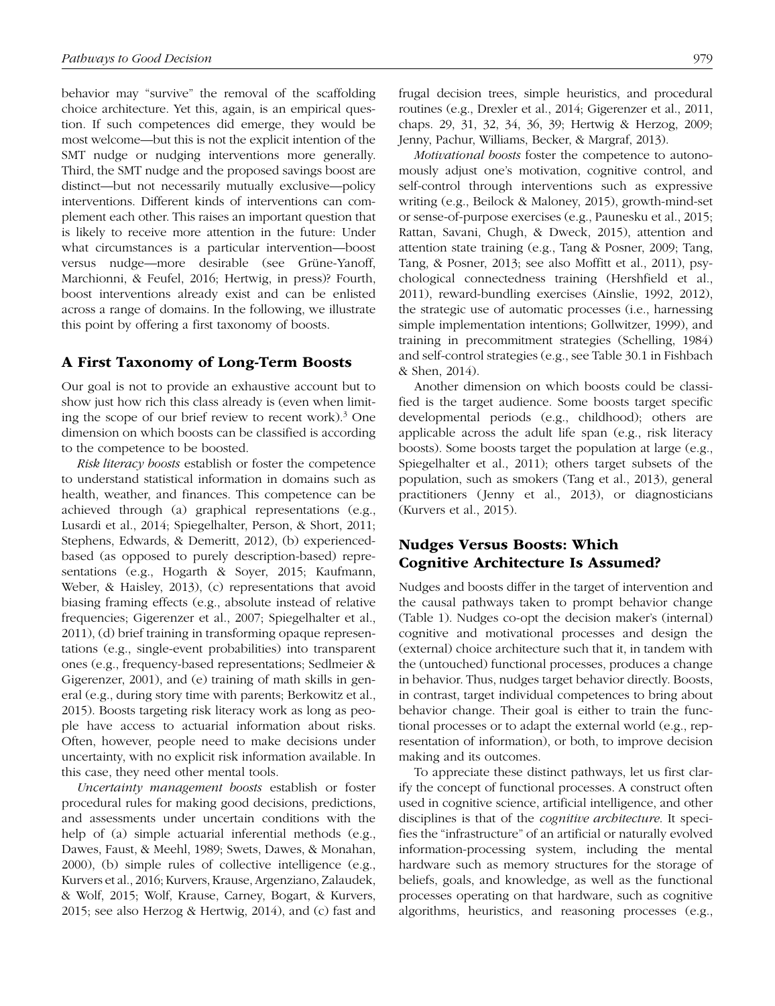behavior may "survive" the removal of the scaffolding choice architecture. Yet this, again, is an empirical question. If such competences did emerge, they would be most welcome—but this is not the explicit intention of the SMT nudge or nudging interventions more generally. Third, the SMT nudge and the proposed savings boost are distinct—but not necessarily mutually exclusive—policy interventions. Different kinds of interventions can complement each other. This raises an important question that is likely to receive more attention in the future: Under what circumstances is a particular intervention—boost versus nudge—more desirable (see Grüne-Yanoff, Marchionni, & Feufel, 2016; Hertwig, in press)? Fourth, boost interventions already exist and can be enlisted across a range of domains. In the following, we illustrate this point by offering a first taxonomy of boosts.

### A First Taxonomy of Long-Term Boosts

Our goal is not to provide an exhaustive account but to show just how rich this class already is (even when limiting the scope of our brief review to recent work).3 One dimension on which boosts can be classified is according to the competence to be boosted.

*Risk literacy boosts* establish or foster the competence to understand statistical information in domains such as health, weather, and finances. This competence can be achieved through (a) graphical representations (e.g., Lusardi et al., 2014; Spiegelhalter, Person, & Short, 2011; Stephens, Edwards, & Demeritt, 2012), (b) experiencedbased (as opposed to purely description-based) representations (e.g., Hogarth & Soyer, 2015; Kaufmann, Weber, & Haisley, 2013), (c) representations that avoid biasing framing effects (e.g., absolute instead of relative frequencies; Gigerenzer et al., 2007; Spiegelhalter et al., 2011), (d) brief training in transforming opaque representations (e.g., single-event probabilities) into transparent ones (e.g., frequency-based representations; Sedlmeier & Gigerenzer, 2001), and (e) training of math skills in general (e.g., during story time with parents; Berkowitz et al., 2015). Boosts targeting risk literacy work as long as people have access to actuarial information about risks. Often, however, people need to make decisions under uncertainty, with no explicit risk information available. In this case, they need other mental tools.

*Uncertainty management boosts* establish or foster procedural rules for making good decisions, predictions, and assessments under uncertain conditions with the help of (a) simple actuarial inferential methods (e.g., Dawes, Faust, & Meehl, 1989; Swets, Dawes, & Monahan, 2000), (b) simple rules of collective intelligence (e.g., Kurvers et al., 2016; Kurvers, Krause, Argenziano, Zalaudek, & Wolf, 2015; Wolf, Krause, Carney, Bogart, & Kurvers, 2015; see also Herzog & Hertwig, 2014), and (c) fast and frugal decision trees, simple heuristics, and procedural routines (e.g., Drexler et al., 2014; Gigerenzer et al., 2011, chaps. 29, 31, 32, 34, 36, 39; Hertwig & Herzog, 2009; Jenny, Pachur, Williams, Becker, & Margraf, 2013).

*Motivational boosts* foster the competence to autonomously adjust one's motivation, cognitive control, and self-control through interventions such as expressive writing (e.g., Beilock & Maloney, 2015), growth-mind-set or sense-of-purpose exercises (e.g., Paunesku et al., 2015; Rattan, Savani, Chugh, & Dweck, 2015), attention and attention state training (e.g., Tang & Posner, 2009; Tang, Tang, & Posner, 2013; see also Moffitt et al., 2011), psychological connectedness training (Hershfield et al., 2011), reward-bundling exercises (Ainslie, 1992, 2012), the strategic use of automatic processes (i.e., harnessing simple implementation intentions; Gollwitzer, 1999), and training in precommitment strategies (Schelling, 1984) and self-control strategies (e.g., see Table 30.1 in Fishbach & Shen, 2014).

Another dimension on which boosts could be classified is the target audience. Some boosts target specific developmental periods (e.g., childhood); others are applicable across the adult life span (e.g., risk literacy boosts). Some boosts target the population at large (e.g., Spiegelhalter et al., 2011); others target subsets of the population, such as smokers (Tang et al., 2013), general practitioners (Jenny et al., 2013), or diagnosticians (Kurvers et al., 2015).

## Nudges Versus Boosts: Which Cognitive Architecture Is Assumed?

Nudges and boosts differ in the target of intervention and the causal pathways taken to prompt behavior change (Table 1). Nudges co-opt the decision maker's (internal) cognitive and motivational processes and design the (external) choice architecture such that it, in tandem with the (untouched) functional processes, produces a change in behavior. Thus, nudges target behavior directly. Boosts, in contrast, target individual competences to bring about behavior change. Their goal is either to train the functional processes or to adapt the external world (e.g., representation of information), or both, to improve decision making and its outcomes.

To appreciate these distinct pathways, let us first clarify the concept of functional processes. A construct often used in cognitive science, artificial intelligence, and other disciplines is that of the *cognitive architecture*. It specifies the "infrastructure" of an artificial or naturally evolved information-processing system, including the mental hardware such as memory structures for the storage of beliefs, goals, and knowledge, as well as the functional processes operating on that hardware, such as cognitive algorithms, heuristics, and reasoning processes (e.g.,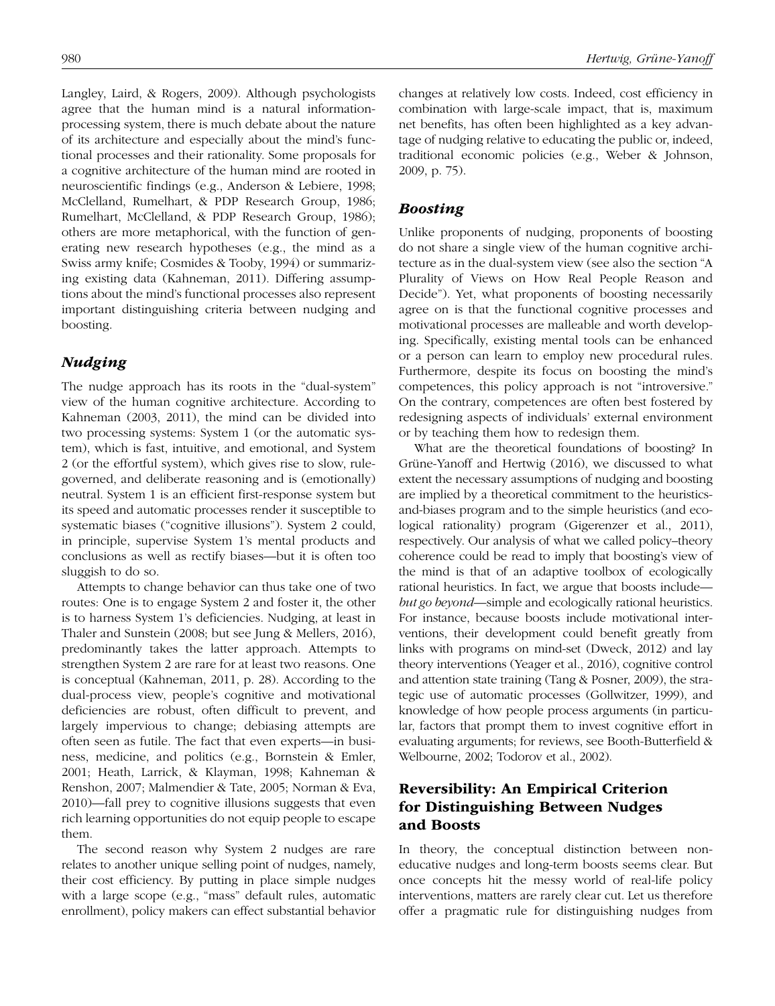Langley, Laird, & Rogers, 2009). Although psychologists agree that the human mind is a natural informationprocessing system, there is much debate about the nature of its architecture and especially about the mind's functional processes and their rationality. Some proposals for a cognitive architecture of the human mind are rooted in neuroscientific findings (e.g., Anderson & Lebiere, 1998; McClelland, Rumelhart, & PDP Research Group, 1986; Rumelhart, McClelland, & PDP Research Group, 1986); others are more metaphorical, with the function of generating new research hypotheses (e.g., the mind as a Swiss army knife; Cosmides & Tooby, 1994) or summarizing existing data (Kahneman, 2011). Differing assumptions about the mind's functional processes also represent important distinguishing criteria between nudging and boosting.

# *Nudging*

The nudge approach has its roots in the "dual-system" view of the human cognitive architecture. According to Kahneman (2003, 2011), the mind can be divided into two processing systems: System 1 (or the automatic system), which is fast, intuitive, and emotional, and System 2 (or the effortful system), which gives rise to slow, rulegoverned, and deliberate reasoning and is (emotionally) neutral. System 1 is an efficient first-response system but its speed and automatic processes render it susceptible to systematic biases ("cognitive illusions"). System 2 could, in principle, supervise System 1's mental products and conclusions as well as rectify biases—but it is often too sluggish to do so.

Attempts to change behavior can thus take one of two routes: One is to engage System 2 and foster it, the other is to harness System 1's deficiencies. Nudging, at least in Thaler and Sunstein (2008; but see Jung & Mellers, 2016), predominantly takes the latter approach. Attempts to strengthen System 2 are rare for at least two reasons. One is conceptual (Kahneman, 2011, p. 28). According to the dual-process view, people's cognitive and motivational deficiencies are robust, often difficult to prevent, and largely impervious to change; debiasing attempts are often seen as futile. The fact that even experts—in business, medicine, and politics (e.g., Bornstein & Emler, 2001; Heath, Larrick, & Klayman, 1998; Kahneman & Renshon, 2007; Malmendier & Tate, 2005; Norman & Eva, 2010)—fall prey to cognitive illusions suggests that even rich learning opportunities do not equip people to escape them.

The second reason why System 2 nudges are rare relates to another unique selling point of nudges, namely, their cost efficiency. By putting in place simple nudges with a large scope (e.g., "mass" default rules, automatic enrollment), policy makers can effect substantial behavior changes at relatively low costs. Indeed, cost efficiency in combination with large-scale impact, that is, maximum net benefits, has often been highlighted as a key advantage of nudging relative to educating the public or, indeed, traditional economic policies (e.g., Weber & Johnson, 2009, p. 75).

### *Boosting*

Unlike proponents of nudging, proponents of boosting do not share a single view of the human cognitive architecture as in the dual-system view (see also the section "A Plurality of Views on How Real People Reason and Decide"). Yet, what proponents of boosting necessarily agree on is that the functional cognitive processes and motivational processes are malleable and worth developing. Specifically, existing mental tools can be enhanced or a person can learn to employ new procedural rules. Furthermore, despite its focus on boosting the mind's competences, this policy approach is not "introversive." On the contrary, competences are often best fostered by redesigning aspects of individuals' external environment or by teaching them how to redesign them.

What are the theoretical foundations of boosting? In Grüne-Yanoff and Hertwig (2016), we discussed to what extent the necessary assumptions of nudging and boosting are implied by a theoretical commitment to the heuristicsand-biases program and to the simple heuristics (and ecological rationality) program (Gigerenzer et al., 2011), respectively. Our analysis of what we called policy–theory coherence could be read to imply that boosting's view of the mind is that of an adaptive toolbox of ecologically rational heuristics. In fact, we argue that boosts include *but go beyond*—simple and ecologically rational heuristics. For instance, because boosts include motivational interventions, their development could benefit greatly from links with programs on mind-set (Dweck, 2012) and lay theory interventions (Yeager et al., 2016), cognitive control and attention state training (Tang & Posner, 2009), the strategic use of automatic processes (Gollwitzer, 1999), and knowledge of how people process arguments (in particular, factors that prompt them to invest cognitive effort in evaluating arguments; for reviews, see Booth-Butterfield & Welbourne, 2002; Todorov et al., 2002).

# Reversibility: An Empirical Criterion for Distinguishing Between Nudges and Boosts

In theory, the conceptual distinction between noneducative nudges and long-term boosts seems clear. But once concepts hit the messy world of real-life policy interventions, matters are rarely clear cut. Let us therefore offer a pragmatic rule for distinguishing nudges from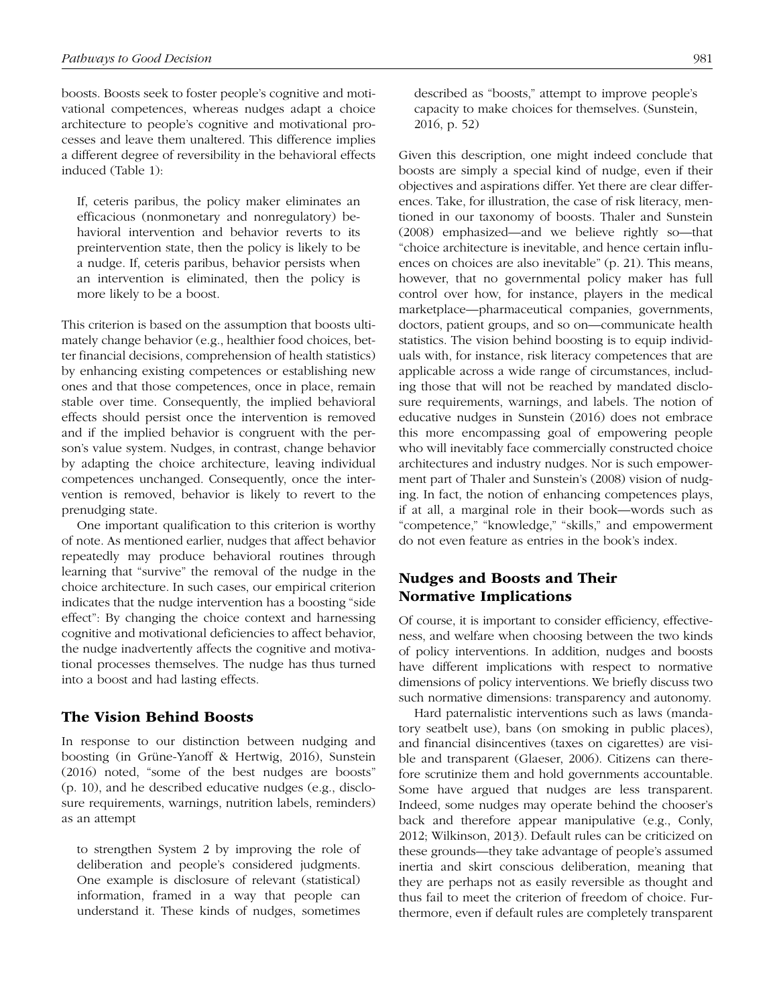boosts. Boosts seek to foster people's cognitive and motivational competences, whereas nudges adapt a choice architecture to people's cognitive and motivational processes and leave them unaltered. This difference implies a different degree of reversibility in the behavioral effects induced (Table 1):

If, ceteris paribus, the policy maker eliminates an efficacious (nonmonetary and nonregulatory) behavioral intervention and behavior reverts to its preintervention state, then the policy is likely to be a nudge. If, ceteris paribus, behavior persists when an intervention is eliminated, then the policy is more likely to be a boost.

This criterion is based on the assumption that boosts ultimately change behavior (e.g., healthier food choices, better financial decisions, comprehension of health statistics) by enhancing existing competences or establishing new ones and that those competences, once in place, remain stable over time. Consequently, the implied behavioral effects should persist once the intervention is removed and if the implied behavior is congruent with the person's value system. Nudges, in contrast, change behavior by adapting the choice architecture, leaving individual competences unchanged. Consequently, once the intervention is removed, behavior is likely to revert to the prenudging state.

One important qualification to this criterion is worthy of note. As mentioned earlier, nudges that affect behavior repeatedly may produce behavioral routines through learning that "survive" the removal of the nudge in the choice architecture. In such cases, our empirical criterion indicates that the nudge intervention has a boosting "side effect": By changing the choice context and harnessing cognitive and motivational deficiencies to affect behavior, the nudge inadvertently affects the cognitive and motivational processes themselves. The nudge has thus turned into a boost and had lasting effects.

### The Vision Behind Boosts

In response to our distinction between nudging and boosting (in Grüne-Yanoff & Hertwig, 2016), Sunstein (2016) noted, "some of the best nudges are boosts" (p. 10), and he described educative nudges (e.g., disclosure requirements, warnings, nutrition labels, reminders) as an attempt

to strengthen System 2 by improving the role of deliberation and people's considered judgments. One example is disclosure of relevant (statistical) information, framed in a way that people can understand it. These kinds of nudges, sometimes described as "boosts," attempt to improve people's capacity to make choices for themselves. (Sunstein, 2016, p. 52)

Given this description, one might indeed conclude that boosts are simply a special kind of nudge, even if their objectives and aspirations differ. Yet there are clear differences. Take, for illustration, the case of risk literacy, mentioned in our taxonomy of boosts. Thaler and Sunstein (2008) emphasized—and we believe rightly so—that "choice architecture is inevitable, and hence certain influences on choices are also inevitable" (p. 21). This means, however, that no governmental policy maker has full control over how, for instance, players in the medical marketplace—pharmaceutical companies, governments, doctors, patient groups, and so on—communicate health statistics. The vision behind boosting is to equip individuals with, for instance, risk literacy competences that are applicable across a wide range of circumstances, including those that will not be reached by mandated disclosure requirements, warnings, and labels. The notion of educative nudges in Sunstein (2016) does not embrace this more encompassing goal of empowering people who will inevitably face commercially constructed choice architectures and industry nudges. Nor is such empowerment part of Thaler and Sunstein's (2008) vision of nudging. In fact, the notion of enhancing competences plays, if at all, a marginal role in their book—words such as "competence," "knowledge," "skills," and empowerment do not even feature as entries in the book's index.

# Nudges and Boosts and Their Normative Implications

Of course, it is important to consider efficiency, effectiveness, and welfare when choosing between the two kinds of policy interventions. In addition, nudges and boosts have different implications with respect to normative dimensions of policy interventions. We briefly discuss two such normative dimensions: transparency and autonomy.

Hard paternalistic interventions such as laws (mandatory seatbelt use), bans (on smoking in public places), and financial disincentives (taxes on cigarettes) are visible and transparent (Glaeser, 2006). Citizens can therefore scrutinize them and hold governments accountable. Some have argued that nudges are less transparent. Indeed, some nudges may operate behind the chooser's back and therefore appear manipulative (e.g., Conly, 2012; Wilkinson, 2013). Default rules can be criticized on these grounds—they take advantage of people's assumed inertia and skirt conscious deliberation, meaning that they are perhaps not as easily reversible as thought and thus fail to meet the criterion of freedom of choice. Furthermore, even if default rules are completely transparent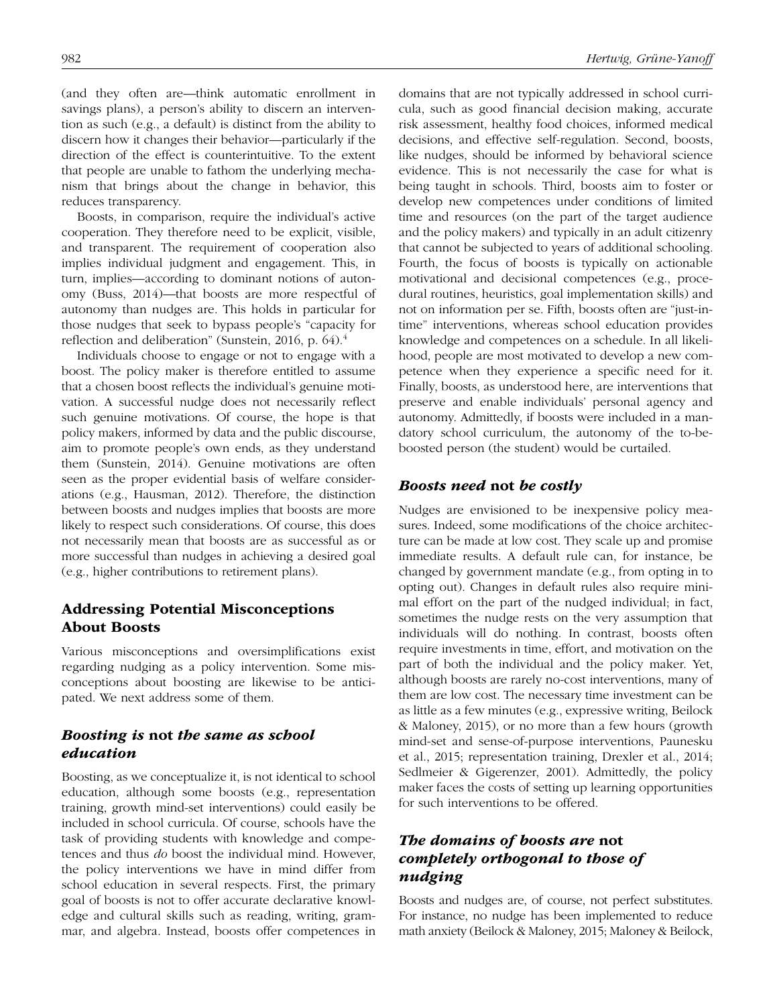(and they often are—think automatic enrollment in savings plans), a person's ability to discern an intervention as such (e.g., a default) is distinct from the ability to discern how it changes their behavior—particularly if the direction of the effect is counterintuitive. To the extent that people are unable to fathom the underlying mechanism that brings about the change in behavior, this reduces transparency.

Boosts, in comparison, require the individual's active cooperation. They therefore need to be explicit, visible, and transparent. The requirement of cooperation also implies individual judgment and engagement. This, in turn, implies—according to dominant notions of autonomy (Buss, 2014)—that boosts are more respectful of autonomy than nudges are. This holds in particular for those nudges that seek to bypass people's "capacity for reflection and deliberation" (Sunstein, 2016, p. 64).<sup>4</sup>

Individuals choose to engage or not to engage with a boost. The policy maker is therefore entitled to assume that a chosen boost reflects the individual's genuine motivation. A successful nudge does not necessarily reflect such genuine motivations. Of course, the hope is that policy makers, informed by data and the public discourse, aim to promote people's own ends, as they understand them (Sunstein, 2014). Genuine motivations are often seen as the proper evidential basis of welfare considerations (e.g., Hausman, 2012). Therefore, the distinction between boosts and nudges implies that boosts are more likely to respect such considerations. Of course, this does not necessarily mean that boosts are as successful as or more successful than nudges in achieving a desired goal (e.g., higher contributions to retirement plans).

## Addressing Potential Misconceptions About Boosts

Various misconceptions and oversimplifications exist regarding nudging as a policy intervention. Some misconceptions about boosting are likewise to be anticipated. We next address some of them.

# *Boosting is* not *the same as school education*

Boosting, as we conceptualize it, is not identical to school education, although some boosts (e.g., representation training, growth mind-set interventions) could easily be included in school curricula. Of course, schools have the task of providing students with knowledge and competences and thus *do* boost the individual mind. However, the policy interventions we have in mind differ from school education in several respects. First, the primary goal of boosts is not to offer accurate declarative knowledge and cultural skills such as reading, writing, grammar, and algebra. Instead, boosts offer competences in domains that are not typically addressed in school curricula, such as good financial decision making, accurate risk assessment, healthy food choices, informed medical decisions, and effective self-regulation. Second, boosts, like nudges, should be informed by behavioral science evidence. This is not necessarily the case for what is being taught in schools. Third, boosts aim to foster or develop new competences under conditions of limited time and resources (on the part of the target audience and the policy makers) and typically in an adult citizenry that cannot be subjected to years of additional schooling. Fourth, the focus of boosts is typically on actionable motivational and decisional competences (e.g., procedural routines, heuristics, goal implementation skills) and not on information per se. Fifth, boosts often are "just-intime" interventions, whereas school education provides knowledge and competences on a schedule. In all likelihood, people are most motivated to develop a new competence when they experience a specific need for it. Finally, boosts, as understood here, are interventions that preserve and enable individuals' personal agency and autonomy. Admittedly, if boosts were included in a mandatory school curriculum, the autonomy of the to-beboosted person (the student) would be curtailed.

### *Boosts need* not *be costly*

Nudges are envisioned to be inexpensive policy measures. Indeed, some modifications of the choice architecture can be made at low cost. They scale up and promise immediate results. A default rule can, for instance, be changed by government mandate (e.g., from opting in to opting out). Changes in default rules also require minimal effort on the part of the nudged individual; in fact, sometimes the nudge rests on the very assumption that individuals will do nothing. In contrast, boosts often require investments in time, effort, and motivation on the part of both the individual and the policy maker. Yet, although boosts are rarely no-cost interventions, many of them are low cost. The necessary time investment can be as little as a few minutes (e.g., expressive writing, Beilock & Maloney, 2015), or no more than a few hours (growth mind-set and sense-of-purpose interventions, Paunesku et al., 2015; representation training, Drexler et al., 2014; Sedlmeier & Gigerenzer, 2001). Admittedly, the policy maker faces the costs of setting up learning opportunities for such interventions to be offered.

# *The domains of boosts are* not *completely orthogonal to those of nudging*

Boosts and nudges are, of course, not perfect substitutes. For instance, no nudge has been implemented to reduce math anxiety (Beilock & Maloney, 2015; Maloney & Beilock,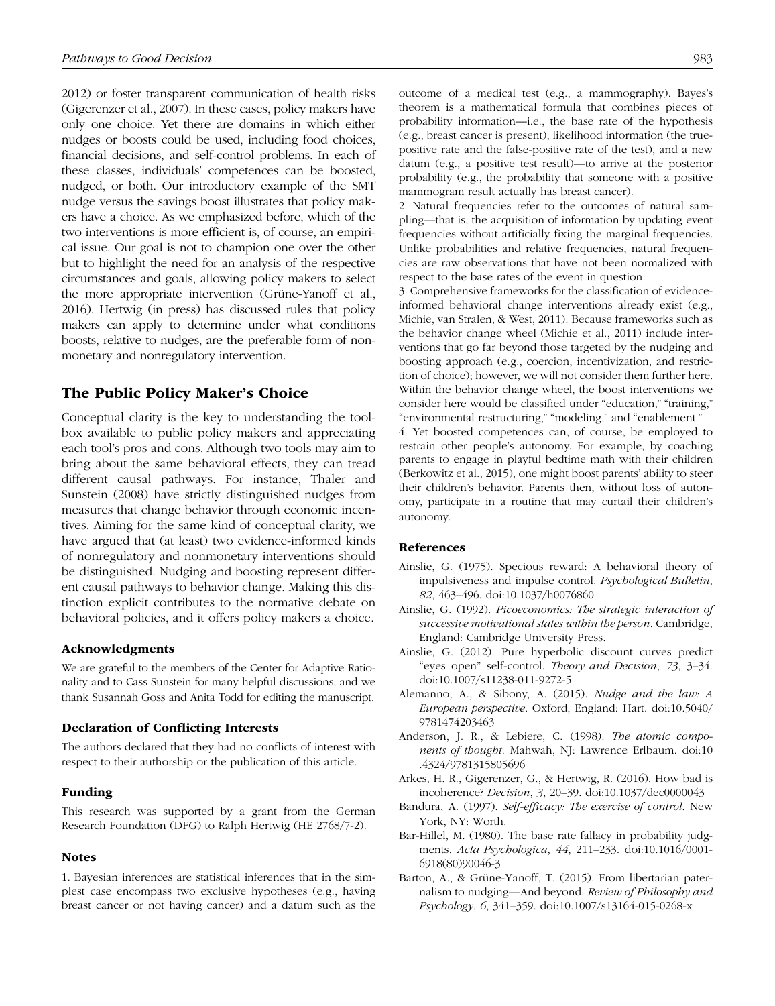2012) or foster transparent communication of health risks (Gigerenzer et al., 2007). In these cases, policy makers have only one choice. Yet there are domains in which either nudges or boosts could be used, including food choices, financial decisions, and self-control problems. In each of these classes, individuals' competences can be boosted, nudged, or both. Our introductory example of the SMT nudge versus the savings boost illustrates that policy makers have a choice. As we emphasized before, which of the two interventions is more efficient is, of course, an empirical issue. Our goal is not to champion one over the other but to highlight the need for an analysis of the respective circumstances and goals, allowing policy makers to select the more appropriate intervention (Grüne-Yanoff et al., 2016). Hertwig (in press) has discussed rules that policy makers can apply to determine under what conditions boosts, relative to nudges, are the preferable form of nonmonetary and nonregulatory intervention.

### The Public Policy Maker's Choice

Conceptual clarity is the key to understanding the toolbox available to public policy makers and appreciating each tool's pros and cons. Although two tools may aim to bring about the same behavioral effects, they can tread different causal pathways. For instance, Thaler and Sunstein (2008) have strictly distinguished nudges from measures that change behavior through economic incentives. Aiming for the same kind of conceptual clarity, we have argued that (at least) two evidence-informed kinds of nonregulatory and nonmonetary interventions should be distinguished. Nudging and boosting represent different causal pathways to behavior change. Making this distinction explicit contributes to the normative debate on behavioral policies, and it offers policy makers a choice.

#### Acknowledgments

We are grateful to the members of the Center for Adaptive Rationality and to Cass Sunstein for many helpful discussions, and we thank Susannah Goss and Anita Todd for editing the manuscript.

#### Declaration of Conflicting Interests

The authors declared that they had no conflicts of interest with respect to their authorship or the publication of this article.

#### Funding

This research was supported by a grant from the German Research Foundation (DFG) to Ralph Hertwig (HE 2768/7-2).

#### Notes

1. Bayesian inferences are statistical inferences that in the simplest case encompass two exclusive hypotheses (e.g., having breast cancer or not having cancer) and a datum such as the outcome of a medical test (e.g., a mammography). Bayes's theorem is a mathematical formula that combines pieces of probability information—i.e., the base rate of the hypothesis (e.g., breast cancer is present), likelihood information (the truepositive rate and the false-positive rate of the test), and a new datum (e.g., a positive test result)—to arrive at the posterior probability (e.g., the probability that someone with a positive mammogram result actually has breast cancer).

2. Natural frequencies refer to the outcomes of natural sampling—that is, the acquisition of information by updating event frequencies without artificially fixing the marginal frequencies. Unlike probabilities and relative frequencies, natural frequencies are raw observations that have not been normalized with respect to the base rates of the event in question.

3. Comprehensive frameworks for the classification of evidenceinformed behavioral change interventions already exist (e.g., Michie, van Stralen, & West, 2011). Because frameworks such as the behavior change wheel (Michie et al., 2011) include interventions that go far beyond those targeted by the nudging and boosting approach (e.g., coercion, incentivization, and restriction of choice); however, we will not consider them further here. Within the behavior change wheel, the boost interventions we consider here would be classified under "education," "training," "environmental restructuring," "modeling," and "enablement."

4. Yet boosted competences can, of course, be employed to restrain other people's autonomy. For example, by coaching parents to engage in playful bedtime math with their children (Berkowitz et al., 2015), one might boost parents' ability to steer their children's behavior. Parents then, without loss of autonomy, participate in a routine that may curtail their children's autonomy.

#### References

- Ainslie, G. (1975). Specious reward: A behavioral theory of impulsiveness and impulse control. *Psychological Bulletin*, *82*, 463–496. doi:10.1037/h0076860
- Ainslie, G. (1992). *Picoeconomics: The strategic interaction of successive motivational states within the person*. Cambridge, England: Cambridge University Press.
- Ainslie, G. (2012). Pure hyperbolic discount curves predict "eyes open" self-control. *Theory and Decision*, *73*, 3–34. doi:10.1007/s11238-011-9272-5
- Alemanno, A., & Sibony, A. (2015). *Nudge and the law: A European perspective*. Oxford, England: Hart. doi:10.5040/ 9781474203463
- Anderson, J. R., & Lebiere, C. (1998). *The atomic components of thought*. Mahwah, NJ: Lawrence Erlbaum. doi:10 .4324/9781315805696
- Arkes, H. R., Gigerenzer, G., & Hertwig, R. (2016). How bad is incoherence? *Decision*, *3*, 20–39. doi:10.1037/dec0000043
- Bandura, A. (1997). *Self-efficacy: The exercise of control*. New York, NY: Worth.
- Bar-Hillel, M. (1980). The base rate fallacy in probability judgments. *Acta Psychologica*, *44*, 211–233. doi:10.1016/0001- 6918(80)90046-3
- Barton, A., & Grüne-Yanoff, T. (2015). From libertarian paternalism to nudging—And beyond. *Review of Philosophy and Psychology*, *6*, 341–359. doi:10.1007/s13164-015-0268-x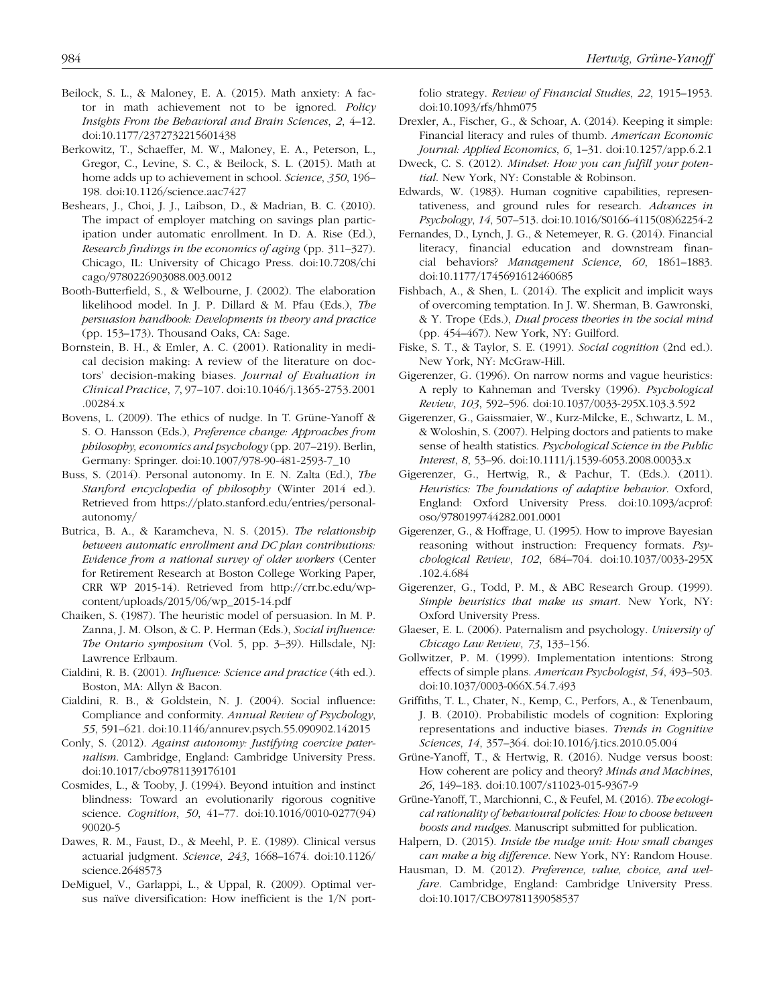- Beilock, S. L., & Maloney, E. A. (2015). Math anxiety: A factor in math achievement not to be ignored. *Policy Insights From the Behavioral and Brain Sciences*, *2*, 4–12. doi:10.1177/2372732215601438
- Berkowitz, T., Schaeffer, M. W., Maloney, E. A., Peterson, L., Gregor, C., Levine, S. C., & Beilock, S. L. (2015). Math at home adds up to achievement in school. *Science*, *350*, 196– 198. doi:10.1126/science.aac7427
- Beshears, J., Choi, J. J., Laibson, D., & Madrian, B. C. (2010). The impact of employer matching on savings plan participation under automatic enrollment. In D. A. Rise (Ed.), *Research findings in the economics of aging* (pp. 311–327). Chicago, IL: University of Chicago Press. doi:10.7208/chi cago/9780226903088.003.0012
- Booth-Butterfield, S., & Welbourne, J. (2002). The elaboration likelihood model. In J. P. Dillard & M. Pfau (Eds.), *The persuasion handbook: Developments in theory and practice* (pp. 153–173). Thousand Oaks, CA: Sage.
- Bornstein, B. H., & Emler, A. C. (2001). Rationality in medical decision making: A review of the literature on doctors' decision-making biases. *Journal of Evaluation in Clinical Practice*, *7*, 97–107. doi:10.1046/j.1365-2753.2001 .00284.x
- Bovens, L. (2009). The ethics of nudge. In T. Grüne-Yanoff & S. O. Hansson (Eds.), *Preference change: Approaches from philosophy, economics and psychology* (pp. 207–219). Berlin, Germany: Springer. doi:10.1007/978-90-481-2593-7\_10
- Buss, S. (2014). Personal autonomy. In E. N. Zalta (Ed.), *The Stanford encyclopedia of philosophy* (Winter 2014 ed.). Retrieved from [https://plato.stanford.edu/entries/personal](https://plato.stanford.edu/entries/personal-autonomy/)[autonomy/](https://plato.stanford.edu/entries/personal-autonomy/)
- Butrica, B. A., & Karamcheva, N. S. (2015). *The relationship between automatic enrollment and DC plan contributions: Evidence from a national survey of older workers* (Center for Retirement Research at Boston College Working Paper, CRR WP 2015-14). Retrieved from [http://crr.bc.edu/wp](http://crr.bc.edu/wp-content/uploads/2015/06/wp_2015-14.pdf)[content/uploads/2015/06/wp\\_2015-14.pdf](http://crr.bc.edu/wp-content/uploads/2015/06/wp_2015-14.pdf)
- Chaiken, S. (1987). The heuristic model of persuasion. In M. P. Zanna, J. M. Olson, & C. P. Herman (Eds.), *Social influence: The Ontario symposium* (Vol. 5, pp. 3–39). Hillsdale, NJ: Lawrence Erlbaum.
- Cialdini, R. B. (2001). *Influence: Science and practice* (4th ed.). Boston, MA: Allyn & Bacon.
- Cialdini, R. B., & Goldstein, N. J. (2004). Social influence: Compliance and conformity. *Annual Review of Psychology*, *55*, 591–621. doi:10.1146/annurev.psych.55.090902.142015
- Conly, S. (2012). *Against autonomy: Justifying coercive paternalism*. Cambridge, England: Cambridge University Press. doi:10.1017/cbo9781139176101
- Cosmides, L., & Tooby, J. (1994). Beyond intuition and instinct blindness: Toward an evolutionarily rigorous cognitive science. *Cognition*, *50*, 41–77. doi:10.1016/0010-0277(94) 90020-5
- Dawes, R. M., Faust, D., & Meehl, P. E. (1989). Clinical versus actuarial judgment. *Science*, *243*, 1668–1674. doi:10.1126/ science.2648573
- DeMiguel, V., Garlappi, L., & Uppal, R. (2009). Optimal versus naïve diversification: How inefficient is the 1/N port-

folio strategy. *Review of Financial Studies*, *22*, 1915–1953. doi:10.1093/rfs/hhm075

- Drexler, A., Fischer, G., & Schoar, A. (2014). Keeping it simple: Financial literacy and rules of thumb. *American Economic Journal: Applied Economics*, *6*, 1–31. doi:10.1257/app.6.2.1
- Dweck, C. S. (2012). *Mindset: How you can fulfill your potential*. New York, NY: Constable & Robinson.
- Edwards, W. (1983). Human cognitive capabilities, representativeness, and ground rules for research. *Advances in Psychology*, *14*, 507–513. doi:10.1016/S0166-4115(08)62254-2
- Fernandes, D., Lynch, J. G., & Netemeyer, R. G. (2014). Financial literacy, financial education and downstream financial behaviors? *Management Science*, *60*, 1861–1883. doi:10.1177/1745691612460685
- Fishbach, A., & Shen, L. (2014). The explicit and implicit ways of overcoming temptation. In J. W. Sherman, B. Gawronski, & Y. Trope (Eds.), *Dual process theories in the social mind* (pp. 454–467). New York, NY: Guilford.
- Fiske, S. T., & Taylor, S. E. (1991). *Social cognition* (2nd ed.). New York, NY: McGraw-Hill.
- Gigerenzer, G. (1996). On narrow norms and vague heuristics: A reply to Kahneman and Tversky (1996). *Psychological Review*, *103*, 592–596. doi:10.1037/0033-295X.103.3.592
- Gigerenzer, G., Gaissmaier, W., Kurz-Milcke, E., Schwartz, L. M., & Woloshin, S. (2007). Helping doctors and patients to make sense of health statistics. *Psychological Science in the Public Interest*, *8*, 53–96. doi:10.1111/j.1539-6053.2008.00033.x
- Gigerenzer, G., Hertwig, R., & Pachur, T. (Eds.). (2011). *Heuristics: The foundations of adaptive behavior*. Oxford, England: Oxford University Press. doi:10.1093/acprof: oso/9780199744282.001.0001
- Gigerenzer, G., & Hoffrage, U. (1995). How to improve Bayesian reasoning without instruction: Frequency formats. *Psychological Review*, *102*, 684–704. doi:10.1037/0033-295X .102.4.684
- Gigerenzer, G., Todd, P. M., & ABC Research Group. (1999). *Simple heuristics that make us smart*. New York, NY: Oxford University Press.
- Glaeser, E. L. (2006). Paternalism and psychology. *University of Chicago Law Review*, *73*, 133–156.
- Gollwitzer, P. M. (1999). Implementation intentions: Strong effects of simple plans. *American Psychologist*, *54*, 493–503. doi:10.1037/0003-066X.54.7.493
- Griffiths, T. L., Chater, N., Kemp, C., Perfors, A., & Tenenbaum, J. B. (2010). Probabilistic models of cognition: Exploring representations and inductive biases. *Trends in Cognitive Sciences*, *14*, 357–364. doi:10.1016/j.tics.2010.05.004
- Grüne-Yanoff, T., & Hertwig, R. (2016). Nudge versus boost: How coherent are policy and theory? *Minds and Machines*, *26*, 149–183. doi:10.1007/s11023-015-9367-9
- Grüne-Yanoff, T., Marchionni, C., & Feufel, M. (2016). *The ecological rationality of behavioural policies: How to choose between boosts and nudges*. Manuscript submitted for publication.
- Halpern, D. (2015). *Inside the nudge unit: How small changes can make a big difference*. New York, NY: Random House.
- Hausman, D. M. (2012). *Preference, value, choice, and welfare*. Cambridge, England: Cambridge University Press. doi:10.1017/CBO9781139058537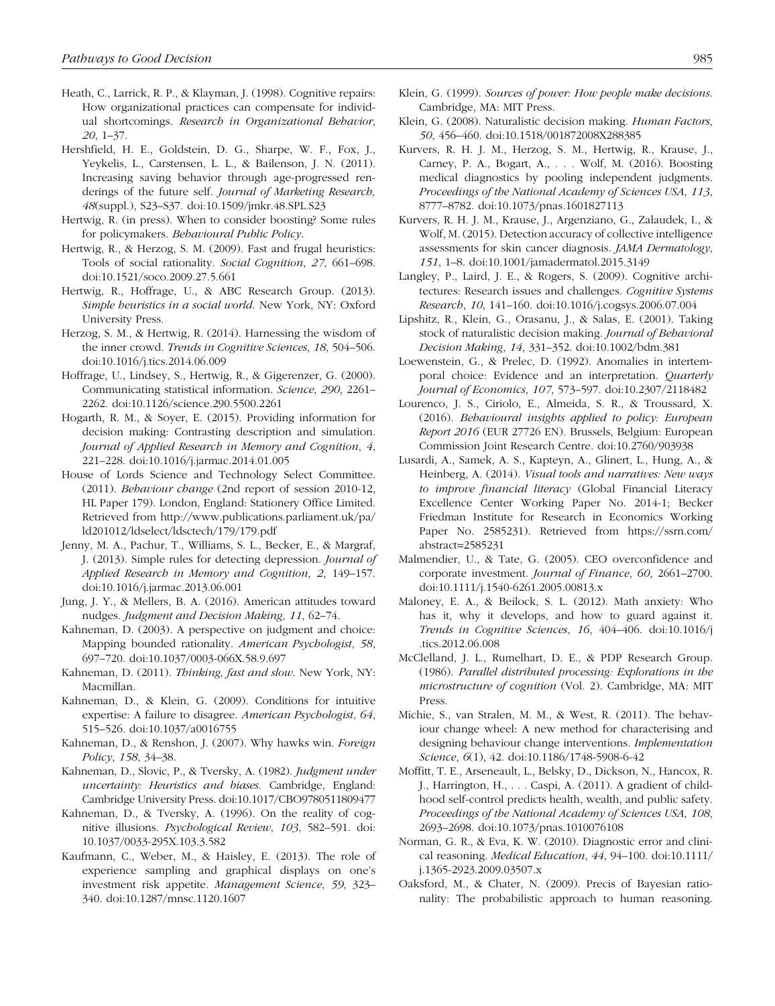- Heath, C., Larrick, R. P., & Klayman, J. (1998). Cognitive repairs: How organizational practices can compensate for individual shortcomings. *Research in Organizational Behavior*, *20*, 1–37.
- Hershfield, H. E., Goldstein, D. G., Sharpe, W. F., Fox, J., Yeykelis, L., Carstensen, L. L., & Bailenson, J. N. (2011). Increasing saving behavior through age-progressed renderings of the future self. *Journal of Marketing Research, 48*(suppl.), S23–S37. doi:10.1509/jmkr.48.SPL.S23
- Hertwig, R. (in press). When to consider boosting? Some rules for policymakers. *Behavioural Public Policy*.
- Hertwig, R., & Herzog, S. M. (2009). Fast and frugal heuristics: Tools of social rationality. *Social Cognition*, *27*, 661–698. doi:10.1521/soco.2009.27.5.661
- Hertwig, R., Hoffrage, U., & ABC Research Group. (2013). *Simple heuristics in a social world*. New York, NY: Oxford University Press.
- Herzog, S. M., & Hertwig, R. (2014). Harnessing the wisdom of the inner crowd. *Trends in Cognitive Sciences*, *18*, 504–506. doi:10.1016/j.tics.2014.06.009
- Hoffrage, U., Lindsey, S., Hertwig, R., & Gigerenzer, G. (2000). Communicating statistical information. *Science*, *290*, 2261– 2262. doi:10.1126/science.290.5500.2261
- Hogarth, R. M., & Soyer, E. (2015). Providing information for decision making: Contrasting description and simulation. *Journal of Applied Research in Memory and Cognition*, *4*, 221–228. doi:10.1016/j.jarmac.2014.01.005
- House of Lords Science and Technology Select Committee. (2011). *Behaviour change* (2nd report of session 2010-12, HL Paper 179). London, England: Stationery Office Limited. Retrieved from [http://www.publications.parliament.uk/pa/](http://www.publications.parliament.uk/pa/ld201012/ldselect/ldsctech/179/179.pdf) [ld201012/ldselect/ldsctech/179/179.pdf](http://www.publications.parliament.uk/pa/ld201012/ldselect/ldsctech/179/179.pdf)
- Jenny, M. A., Pachur, T., Williams, S. L., Becker, E., & Margraf, J. (2013). Simple rules for detecting depression. *Journal of Applied Research in Memory and Cognition*, *2*, 149–157. doi:10.1016/j.jarmac.2013.06.001
- Jung, J. Y., & Mellers, B. A. (2016). American attitudes toward nudges. *Judgment and Decision Making*, *11*, 62–74.
- Kahneman, D. (2003). A perspective on judgment and choice: Mapping bounded rationality. *American Psychologist*, *58*, 697–720. doi:10.1037/0003-066X.58.9.697
- Kahneman, D. (2011). *Thinking, fast and slow*. New York, NY: Macmillan.
- Kahneman, D., & Klein, G. (2009). Conditions for intuitive expertise: A failure to disagree. *American Psychologist*, *64*, 515–526. doi:10.1037/a0016755
- Kahneman, D., & Renshon, J. (2007). Why hawks win. *Foreign Policy*, *158*, 34–38.
- Kahneman, D., Slovic, P., & Tversky, A. (1982). *Judgment under uncertainty: Heuristics and biases*. Cambridge, England: Cambridge University Press. doi:10.1017/CBO9780511809477
- Kahneman, D., & Tversky, A. (1996). On the reality of cognitive illusions. *Psychological Review*, *103*, 582–591. doi: 10.1037/0033-295X.103.3.582
- Kaufmann, C., Weber, M., & Haisley, E. (2013). The role of experience sampling and graphical displays on one's investment risk appetite. *Management Science*, *59*, 323– 340. doi:10.1287/mnsc.1120.1607
- Klein, G. (1999). *Sources of power: How people make decisions*. Cambridge, MA: MIT Press.
- Klein, G. (2008). Naturalistic decision making. *Human Factors*, *50*, 456–460. doi:10.1518/001872008X288385
- Kurvers, R. H. J. M., Herzog, S. M., Hertwig, R., Krause, J., Carney, P. A., Bogart, A., . . . Wolf, M. (2016). Boosting medical diagnostics by pooling independent judgments. *Proceedings of the National Academy of Sciences USA*, *113*, 8777–8782. doi:10.1073/pnas.1601827113
- Kurvers, R. H. J. M., Krause, J., Argenziano, G., Zalaudek, I., & Wolf, M. (2015). Detection accuracy of collective intelligence assessments for skin cancer diagnosis. *JAMA Dermatology*, *151*, 1–8. doi:10.1001/jamadermatol.2015.3149
- Langley, P., Laird, J. E., & Rogers, S. (2009). Cognitive architectures: Research issues and challenges. *Cognitive Systems Research*, *10*, 141–160. doi:10.1016/j.cogsys.2006.07.004
- Lipshitz, R., Klein, G., Orasanu, J., & Salas, E. (2001). Taking stock of naturalistic decision making. *Journal of Behavioral Decision Making*, *14*, 331–352. doi:10.1002/bdm.381
- Loewenstein, G., & Prelec, D. (1992). Anomalies in intertemporal choice: Evidence and an interpretation. *Quarterly Journal of Economics*, *107*, 573–597. doi:10.2307/2118482
- Lourenco, J. S., Ciriolo, E., Almeida, S. R., & Troussard, X. (2016). *Behavioural insights applied to policy: European Report 2016* (EUR 27726 EN). Brussels, Belgium: European Commission Joint Research Centre. doi:10.2760/903938
- Lusardi, A., Samek, A. S., Kapteyn, A., Glinert, L., Hung, A., & Heinberg, A. (2014). *Visual tools and narratives: New ways to improve financial literacy* (Global Financial Literacy Excellence Center Working Paper No. 2014-1; Becker Friedman Institute for Research in Economics Working Paper No. 2585231). Retrieved from [https://ssrn.com/](https://ssrn.com/abstract=2585231) [abstract=2585231](https://ssrn.com/abstract=2585231)
- Malmendier, U., & Tate, G. (2005). CEO overconfidence and corporate investment. *Journal of Finance*, *60*, 2661–2700. doi:10.1111/j.1540-6261.2005.00813.x
- Maloney, E. A., & Beilock, S. L. (2012). Math anxiety: Who has it, why it develops, and how to guard against it. *Trends in Cognitive Sciences*, *16*, 404–406. doi:10.1016/j .tics.2012.06.008
- McClelland, J. L., Rumelhart, D. E., & PDP Research Group. (1986). *Parallel distributed processing: Explorations in the microstructure of cognition* (Vol. 2). Cambridge, MA: MIT Press.
- Michie, S., van Stralen, M. M., & West, R. (2011). The behaviour change wheel: A new method for characterising and designing behaviour change interventions. *Implementation Science*, *6*(1), 42. doi:10.1186/1748-5908-6-42
- Moffitt, T. E., Arseneault, L., Belsky, D., Dickson, N., Hancox, R. J., Harrington, H., . . . Caspi, A. (2011). A gradient of childhood self-control predicts health, wealth, and public safety. *Proceedings of the National Academy of Sciences USA*, *108*, 2693–2698. doi:10.1073/pnas.1010076108
- Norman, G. R., & Eva, K. W. (2010). Diagnostic error and clinical reasoning. *Medical Education*, *44*, 94–100. doi:10.1111/ j.1365-2923.2009.03507.x
- Oaksford, M., & Chater, N. (2009). Precis of Bayesian rationality: The probabilistic approach to human reasoning.